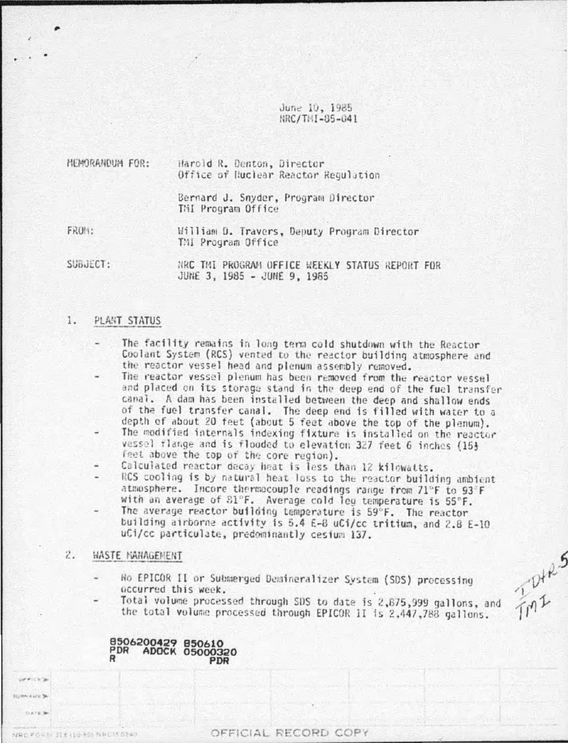June 10, 1985 HRC/THI-85-041

HEMORANDUM FOR: Harold R. Denton, Director Office of Nuclear Reactor Regulation Bernard J. Snyder, Program Director THI Program Office FROM:

William D. Travers, Deputy Program Director TMI Program Office

SUBJECT: NRC TMI PROGRAM OFFICE WEEKLY STATUS REPORT FOR JUNE 3, 1985 - JUNE 9, 1985

### 1. PLANT STATUS

- The facility remains in long term cold shutdown with the Reactor Coolant System (RCS) vented to the reactor building atmosphere and the reactor vessel head and plenum assembly removed.
- The reactor vessel plenum has been removed from the reactor vessel and placed on its storage stand in the deep end of the fuel transfer canal. A dam has been installed between the deep and shallow ends of the fuel transfer canal. The deep end is filled with water to a depth of about 20 feet (about 5 feet above the top of the plenum).
- The modified internals indexing fixture is installed on the reactor vessel flange and is flooded to elevation 327 feet 6 inches (15} feet above the top of the core region).
- Calculated reactor decay heat is less than 12 kilowatts.
- RCS cooling is by natural heat loss to the reactor building ambient atmosphere. Incore thermocouple readings range from 71°F to 93°F with an average of S1°F. Average cold leg temperature is 55°F.
- The average reactor building temperature is 59°F. The reactor building airborne activity is 5.4 E-8 uCi/cc tritium, and 2.8 E-10 uCi/cc particulate, predominantly cesium 137.

### $2.$ WASTE MANAGEMENT

**CATATION** BA SURNAME 34 **SATES** 

NRCFORM MENDON NRCM 0240

- Ho EPICOR II or Submerged Demineralizer System (SDS) processing occurred this week.
	- Total volume processed through SDS to date is 2,875,999 gallons, and the total volume processed through EPICOR II is 2,447,788 gallons.

TMI S

8506200429 850610 PDR ADOCK 05000320 R PDR

# OFFICIAL RECORD COPY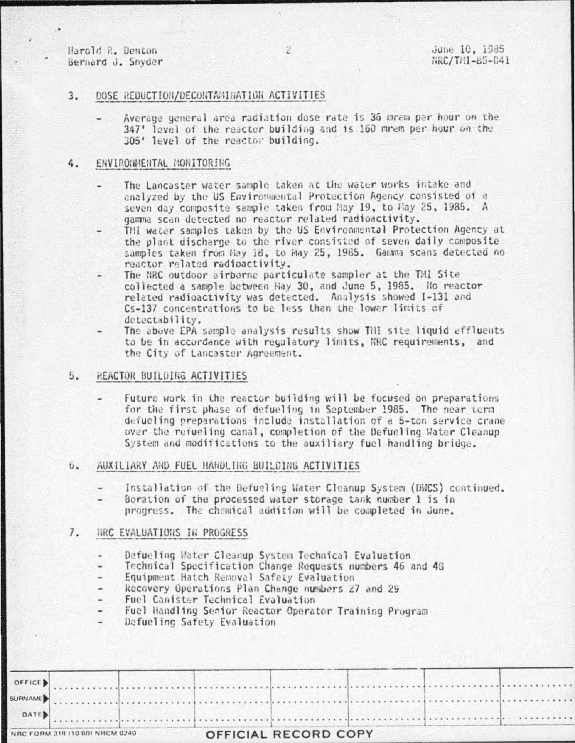Harold R. Denton Bernard J. Snyder

### $3.$ DOSE REDUCTION/DECONTA/NINATION ACTIVITIES

Average general area radiation dose rate is 36 mrem per hour on the 347' level of the reactor building and is 160 mrem per hour on the 305' level of the reactor building.

### ENVIRONMENTAL MONITORING 4.

- The Lancaster water sample taken at the water works intake and analyzed by the US Environmental Protection Agency consisted of a seven day composite sample taken from May 19, to May 25, 1985. A gamma scan detected no reactor related radioactivity.
- Thi water samples taken by the US Environmental Protection Agency at the plant discharge to the river consisted of seven daily composite samples taken from Hay 18, to Hay 25, 1985. Gamma scans detected no reactor related radioactivity.
- The NRC outdoor airborne particulate sampler at the TMI Site collected a sample between Hay 30, and June 5, 1985. No reactor related radioactivity was detected. Analysis showed I-131 and Cs-137 concentrations to be less than the lower limits of detectability.
- The above EPA sample analysis results show THI site liquid effluents to be in accordance with regulatory limits, NRC requirements, and the City of Lancaster Agreement.

# 5. REACTOR BUILDING ACTIVITIES

Future work in the reactor building will be focused on preparations for the first phase of defueling in September 1985. The near term defueling preparations include installation of a 5-ton service crane over the refueling canal, completion of the Defueling Water Cleanup System and modifications to the auxiliary fuel handling bridge.

#### 6. AUXILIARY AND FUEL HANDLING BUILDING ACTIVITIES

- Installation of the Defueling Water Cleanup System (DWCS) continued.
- Boration of the processed water storage tank number 1 is in progress. The chemical addition will be completed in June.

# 7. NRC EVALUATIONS IN PROGRESS

- Defueling Water Cleanup System Technical Evaluation ٠
- Technical Specification Change Requests numbers 46 and 48
- Equipment Hatch Removal Safety Evaluation
- Recovery Operations Plan Change numbers 27 and 29
- Fuel Canister Technical Evaluation
- Fuel Handling Senior Reactor Operator Training Program  $\overline{a}$
- Defueling Safety Evaluation

| NRC FORM 318 (10 80) NRCM 0240 |                      |  | OFFICIAL RECORD COPY |  |  |  |  |  |  |  |  |
|--------------------------------|----------------------|--|----------------------|--|--|--|--|--|--|--|--|
|                                | $\blacksquare$ DATE) |  |                      |  |  |  |  |  |  |  |  |
|                                |                      |  |                      |  |  |  |  |  |  |  |  |
|                                |                      |  |                      |  |  |  |  |  |  |  |  |

 $\overline{2}$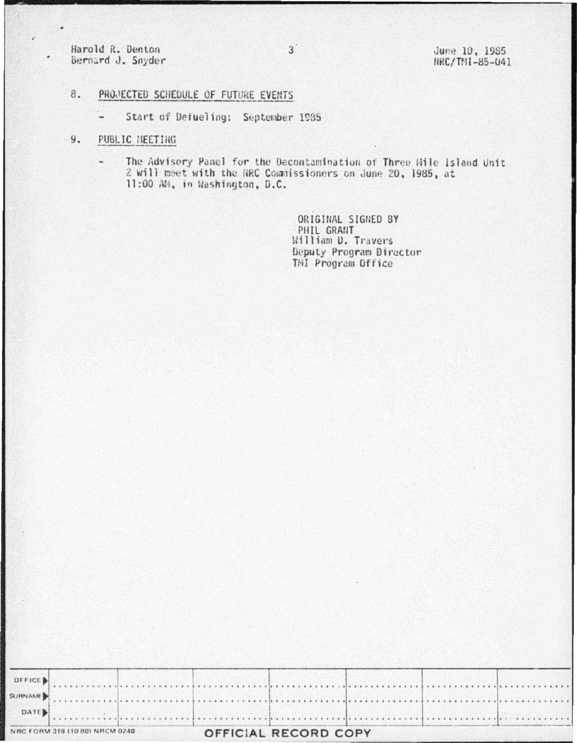Harold R. Denton Bernard J. Snyder June 10, 1985 NRC/TMI-85-041

## PROJECTED SCHEDULE OF FUTURE EVENTS  $8.$

Start of Defueling: September 1985  $\overline{\phantom{a}}$ 

## $9.$ PUBLIC NEETING

The Advisory Panel for the Decontamination of Three Wile Island Unit 2 will meet with the NRC Commissioners on June 20, 1985, at 11:00 AM, in Washington, D.C.

> ORIGINAL SIGNED BY PHIL GRANT William D. Travers Deputy Program Director TMI Program Office

| NRC FORM 318 (10 80) NRCM 0240 |  | OFFICIAL RECORD COPY |  |  |  |
|--------------------------------|--|----------------------|--|--|--|
| $\blacksquare$ DATE            |  |                      |  |  |  |
|                                |  |                      |  |  |  |
|                                |  |                      |  |  |  |